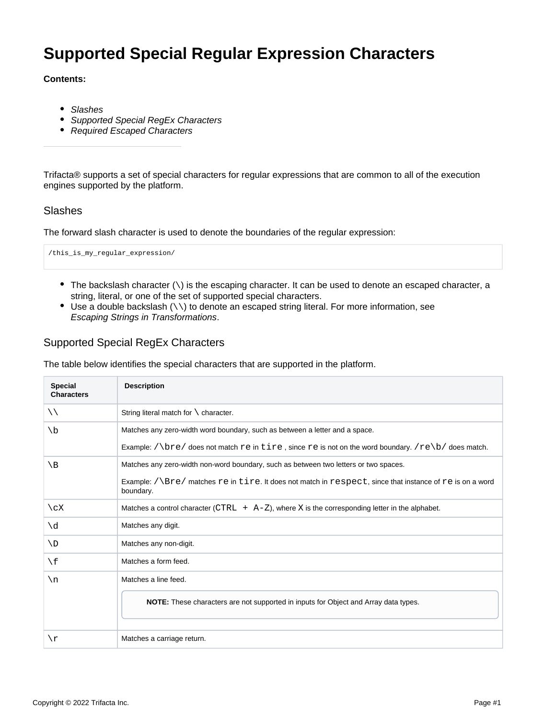# **Supported Special Regular Expression Characters**

#### **Contents:**

- [Slashes](#page-0-0)
- [Supported Special RegEx Characters](#page-0-1)
- [Required Escaped Characters](#page-1-0)

Trifacta® supports a set of special characters for regular expressions that are common to all of the execution engines supported by the platform.

#### <span id="page-0-0"></span>Slashes

The forward slash character is used to denote the boundaries of the regular expression:

/this\_is\_my\_regular\_expression/

- $\bullet$  The backslash character  $(\cdot)$  is the escaping character. It can be used to denote an escaped character, a string, literal, or one of the set of supported special characters.
- $\bullet$  Use a double backslash (\\) to denote an escaped string literal. For more information, see [Escaping Strings in Transformations](https://docs.trifacta.com/display/AWS/Escaping+Strings+in+Transformations).

### <span id="page-0-1"></span>Supported Special RegEx Characters

The table below identifies the special characters that are supported in the platform.

| <b>Special</b><br><b>Characters</b> | <b>Description</b>                                                                                                               |
|-------------------------------------|----------------------------------------------------------------------------------------------------------------------------------|
| $\setminus \setminus$               | String literal match for $\setminus$ character.                                                                                  |
| $\setminus b$                       | Matches any zero-width word boundary, such as between a letter and a space.                                                      |
|                                     | Example: $\sqrt{bre}$ does not match re in tire, since re is not on the word boundary. $re\b/$ does match.                       |
| $\setminus B$                       | Matches any zero-width non-word boundary, such as between two letters or two spaces.                                             |
|                                     | Example: $/\langle Bre/$ matches $re$ in tire. It does not match in respect, since that instance of re is on a word<br>boundary. |
| $\angle$ cX                         | Matches a control character (CTRL $+$ A-Z), where X is the corresponding letter in the alphabet.                                 |
| $\setminus d$                       | Matches any digit.                                                                                                               |
| $\setminus D$                       | Matches any non-digit.                                                                                                           |
| $\setminus f$                       | Matches a form feed.                                                                                                             |
| $\n\backslash$ n                    | Matches a line feed.                                                                                                             |
|                                     | <b>NOTE:</b> These characters are not supported in inputs for Object and Array data types.                                       |
| \r                                  | Matches a carriage return.                                                                                                       |